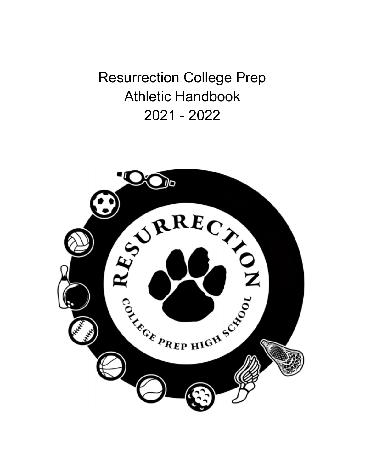Resurrection College Prep Athletic Handbook 2021 - 2022

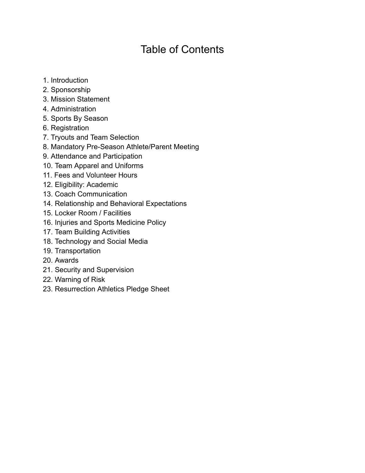# Table of Contents

- 1. Introduction
- 2. Sponsorship
- 3. Mission Statement
- 4. Administration
- 5. Sports By Season
- 6. Registration
- 7. Tryouts and Team Selection
- 8. Mandatory Pre-Season Athlete/Parent Meeting
- 9. Attendance and Participation
- 10. Team Apparel and Uniforms
- 11. Fees and Volunteer Hours
- 12. Eligibility: Academic
- 13. Coach Communication
- 14. Relationship and Behavioral Expectations
- 15. Locker Room / Facilities
- 16. Injuries and Sports Medicine Policy
- 17. Team Building Activities
- 18. Technology and Social Media
- 19. Transportation
- 20. Awards
- 21. Security and Supervision
- 22. Warning of Risk
- 23. Resurrection Athletics Pledge Sheet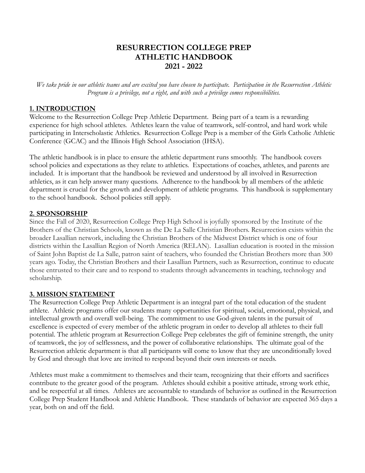## **RESURRECTION COLLEGE PREP ATHLETIC HANDBOOK 2021 - 2022**

*We take pride in our athletic teams and are excited you have chosen to participate. Participation in the Resurrection Athletic Program is a privilege, not a right, and with such a privilege comes responsibilities.*

#### **1. INTRODUCTION**

Welcome to the Resurrection College Prep Athletic Department. Being part of a team is a rewarding experience for high school athletes. Athletes learn the value of teamwork, self-control, and hard work while participating in Interscholastic Athletics. Resurrection College Prep is a member of the Girls Catholic Athletic Conference (GCAC) and the Illinois High School Association (IHSA).

The athletic handbook is in place to ensure the athletic department runs smoothly. The handbook covers school policies and expectations as they relate to athletics. Expectations of coaches, athletes, and parents are included. It is important that the handbook be reviewed and understood by all involved in Resurrection athletics, as it can help answer many questions. Adherence to the handbook by all members of the athletic department is crucial for the growth and development of athletic programs. This handbook is supplementary to the school handbook. School policies still apply.

#### **2. SPONSORSHIP**

Since the Fall of 2020, Resurrection College Prep High School is joyfully sponsored by the Institute of the Brothers of the Christian Schools, known as the De La Salle Christian Brothers. Resurrection exists within the broader Lasallian network, including the Christian Brothers of the Midwest District which is one of four districts within the Lasallian Region of North America (RELAN). Lasallian education is rooted in the mission of Saint John Baptist de La Salle, patron saint of teachers, who founded the Christian Brothers more than 300 years ago. Today, the Christian Brothers and their Lasallian Partners, such as Resurrection, continue to educate those entrusted to their care and to respond to students through advancements in teaching, technology and scholarship.

#### **3. MISSION STATEMENT**

The Resurrection College Prep Athletic Department is an integral part of the total education of the student athlete. Athletic programs offer our students many opportunities for spiritual, social, emotional, physical, and intellectual growth and overall well-being. The commitment to use God-given talents in the pursuit of excellence is expected of every member of the athletic program in order to develop all athletes to their full potential. The athletic program at Resurrection College Prep celebrates the gift of feminine strength, the unity of teamwork, the joy of selflessness, and the power of collaborative relationships. The ultimate goal of the Resurrection athletic department is that all participants will come to know that they are unconditionally loved by God and through that love are invited to respond beyond their own interests or needs.

Athletes must make a commitment to themselves and their team, recognizing that their efforts and sacrifices contribute to the greater good of the program. Athletes should exhibit a positive attitude, strong work ethic, and be respectful at all times. Athletes are accountable to standards of behavior as outlined in the Resurrection College Prep Student Handbook and Athletic Handbook. These standards of behavior are expected 365 days a year, both on and off the field.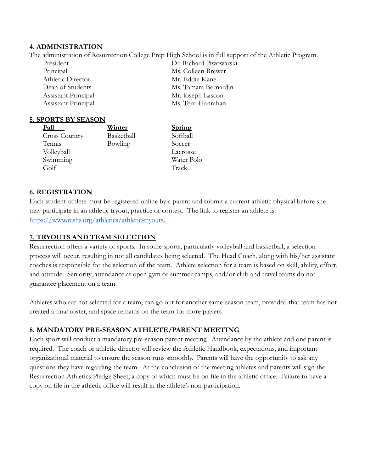#### **4. ADMINISTRATION**

The administration of Resurrection College Prep High School is in full support of the Athletic Program.

Principal Ms. Colleen Brewer Athletic Director Mr. Eddie Kane Dean of Students Ms. Tamara Bernardin Assistant Principal Mr. Joseph Lascon Assistant Principal Ms. Terri Hanrahan

#### **5. SPORTS BY SEASON**

**Fall Winter** Cross Country Basketball Tennis Bowling Volleyball Swimming Golf Track

President Dr. Richard Piwowarski

| <b>Spring</b> |
|---------------|
| Softball      |
| Soccer        |
| Lacrosse      |
| Water Polo    |
| Track         |

#### **6. REGISTRATION**

Each student-athlete must be registered online by a parent and submit a current athletic physical before she may participate in an athletic tryout, practice or contest. The link to register an athlete is: <https://www.reshs.org/athletics/athletic-tryouts>.

#### **7. TRYOUTS AND TEAM SELECTION**

Resurrection offers a variety of sports. In some sports, particularly volleyball and basketball, a selection process will occur, resulting in not all candidates being selected. The Head Coach, along with his/her assistant coaches is responsible for the selection of the team. Athlete selection for a team is based on skill, ability, effort, and attitude. Seniority, attendance at open gym or summer camps, and/or club and travel teams do not guarantee placement on a team.

Athletes who are not selected for a team, can go out for another same-season team, provided that team has not created a final roster, and space remains on the team for more players.

#### **8. MANDATORY PRE-SEASON ATHLETE/PARENT MEETING**

Each sport will conduct a mandatory pre-season parent meeting. Attendance by the athlete and one parent is required. The coach or athletic director will review the Athletic Handbook, expectations, and important organizational material to ensure the season runs smoothly. Parents will have the opportunity to ask any questions they have regarding the team. At the conclusion of the meeting athletes and parents will sign the Resurrection Athletics Pledge Sheet, a copy of which must be on file in the athletic office. Failure to have a copy on file in the athletic office will result in the athlete's non-participation.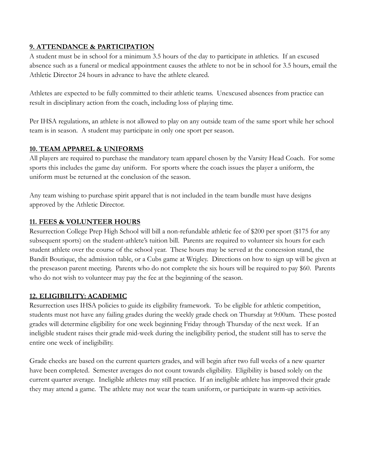## **9. ATTENDANCE & PARTICIPATION**

A student must be in school for a minimum 3.5 hours of the day to participate in athletics. If an excused absence such as a funeral or medical appointment causes the athlete to not be in school for 3.5 hours, email the Athletic Director 24 hours in advance to have the athlete cleared.

Athletes are expected to be fully committed to their athletic teams. Unexcused absences from practice can result in disciplinary action from the coach, including loss of playing time.

Per IHSA regulations, an athlete is not allowed to play on any outside team of the same sport while her school team is in season. A student may participate in only one sport per season.

## **10. TEAM APPAREL & UNIFORMS**

All players are required to purchase the mandatory team apparel chosen by the Varsity Head Coach. For some sports this includes the game day uniform. For sports where the coach issues the player a uniform, the uniform must be returned at the conclusion of the season.

Any team wishing to purchase spirit apparel that is not included in the team bundle must have designs approved by the Athletic Director.

## **11. FEES & VOLUNTEER HOURS**

Resurrection College Prep High School will bill a non-refundable athletic fee of \$200 per sport (\$175 for any subsequent sports) on the student-athlete's tuition bill. Parents are required to volunteer six hours for each student athlete over the course of the school year. These hours may be served at the concession stand, the Bandit Boutique, the admission table, or a Cubs game at Wrigley. Directions on how to sign up will be given at the preseason parent meeting. Parents who do not complete the six hours will be required to pay \$60. Parents who do not wish to volunteer may pay the fee at the beginning of the season.

#### **12. ELIGIBILITY: ACADEMIC**

Resurrection uses IHSA policies to guide its eligibility framework. To be eligible for athletic competition, students must not have any failing grades during the weekly grade check on Thursday at 9:00am. These posted grades will determine eligibility for one week beginning Friday through Thursday of the next week. If an ineligible student raises their grade mid-week during the ineligibility period, the student still has to serve the entire one week of ineligibility.

Grade checks are based on the current quarters grades, and will begin after two full weeks of a new quarter have been completed. Semester averages do not count towards eligibility. Eligibility is based solely on the current quarter average. Ineligible athletes may still practice. If an ineligible athlete has improved their grade they may attend a game. The athlete may not wear the team uniform, or participate in warm-up activities.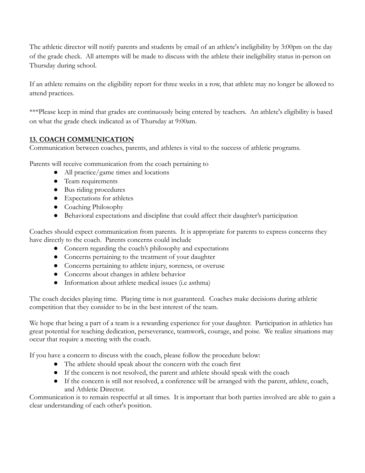The athletic director will notify parents and students by email of an athlete's ineligibility by 3:00pm on the day of the grade check. All attempts will be made to discuss with the athlete their ineligibility status in-person on Thursday during school.

If an athlete remains on the eligibility report for three weeks in a row, that athlete may no longer be allowed to attend practices.

\*\*\*Please keep in mind that grades are continuously being entered by teachers. An athlete's eligibility is based on what the grade check indicated as of Thursday at 9:00am.

## **13. COACH COMMUNICATION**

Communication between coaches, parents, and athletes is vital to the success of athletic programs.

Parents will receive communication from the coach pertaining to

- All practice/game times and locations
- Team requirements
- Bus riding procedures
- Expectations for athletes
- Coaching Philosophy
- Behavioral expectations and discipline that could affect their daughter's participation

Coaches should expect communication from parents. It is appropriate for parents to express concerns they have directly to the coach. Parents concerns could include

- Concern regarding the coach's philosophy and expectations
- Concerns pertaining to the treatment of your daughter
- Concerns pertaining to athlete injury, soreness, or overuse
- Concerns about changes in athlete behavior
- Information about athlete medical issues (i.e asthma)

The coach decides playing time. Playing time is not guaranteed. Coaches make decisions during athletic competition that they consider to be in the best interest of the team.

We hope that being a part of a team is a rewarding experience for your daughter. Participation in athletics has great potential for teaching dedication, perseverance, teamwork, courage, and poise. We realize situations may occur that require a meeting with the coach.

If you have a concern to discuss with the coach, please follow the procedure below:

- The athlete should speak about the concern with the coach first
- If the concern is not resolved, the parent and athlete should speak with the coach
- If the concern is still not resolved, a conference will be arranged with the parent, athlete, coach, and Athletic Director.

Communication is to remain respectful at all times. It is important that both parties involved are able to gain a clear understanding of each other's position.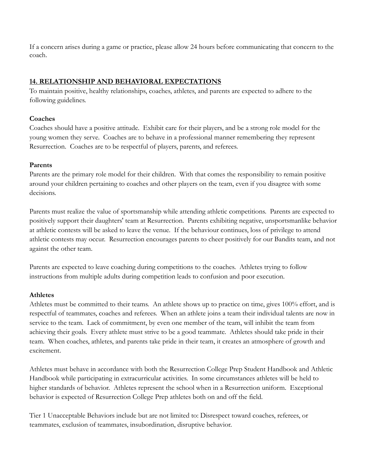If a concern arises during a game or practice, please allow 24 hours before communicating that concern to the coach.

## **14. RELATIONSHIP AND BEHAVIORAL EXPECTATIONS**

To maintain positive, healthy relationships, coaches, athletes, and parents are expected to adhere to the following guidelines.

#### **Coaches**

Coaches should have a positive attitude. Exhibit care for their players, and be a strong role model for the young women they serve. Coaches are to behave in a professional manner remembering they represent Resurrection. Coaches are to be respectful of players, parents, and referees.

#### **Parents**

Parents are the primary role model for their children. With that comes the responsibility to remain positive around your children pertaining to coaches and other players on the team, even if you disagree with some decisions.

Parents must realize the value of sportsmanship while attending athletic competitions. Parents are expected to positively support their daughters' team at Resurrection. Parents exhibiting negative, unsportsmanlike behavior at athletic contests will be asked to leave the venue. If the behaviour continues, loss of privilege to attend athletic contests may occur. Resurrection encourages parents to cheer positively for our Bandits team, and not against the other team.

Parents are expected to leave coaching during competitions to the coaches. Athletes trying to follow instructions from multiple adults during competition leads to confusion and poor execution.

#### **Athletes**

Athletes must be committed to their teams. An athlete shows up to practice on time, gives 100% effort, and is respectful of teammates, coaches and referees. When an athlete joins a team their individual talents are now in service to the team. Lack of commitment, by even one member of the team, will inhibit the team from achieving their goals. Every athlete must strive to be a good teammate. Athletes should take pride in their team. When coaches, athletes, and parents take pride in their team, it creates an atmosphere of growth and excitement.

Athletes must behave in accordance with both the Resurrection College Prep Student Handbook and Athletic Handbook while participating in extracurricular activities. In some circumstances athletes will be held to higher standards of behavior. Athletes represent the school when in a Resurrection uniform. Exceptional behavior is expected of Resurrection College Prep athletes both on and off the field.

Tier 1 Unacceptable Behaviors include but are not limited to: Disrespect toward coaches, referees, or teammates, exclusion of teammates, insubordination, disruptive behavior.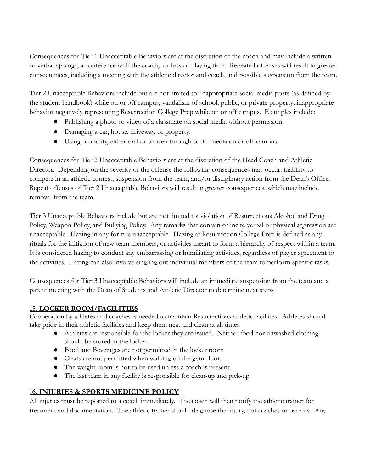Consequences for Tier 1 Unacceptable Behaviors are at the discretion of the coach and may include a written or verbal apology, a conference with the coach, or loss of playing time. Repeated offenses will result in greater consequences, including a meeting with the athletic director and coach, and possible suspension from the team.

Tier 2 Unacceptable Behaviors include but are not limited to: inappropriate social media posts (as defined by the student handbook) while on or off campus; vandalism of school, public, or private property; inappropriate behavior negatively representing Resurrection College Prep while on or off campus. Examples include:

- Publishing a photo or video of a classmate on social media without permission.
- Damaging a car, house, driveway, or property.
- Using profanity, either oral or written through social media on or off campus.

Consequences for Tier 2 Unacceptable Behaviors are at the discretion of the Head Coach and Athletic Director. Depending on the severity of the offense the following consequences may occur: inability to compete in an athletic contest, suspension from the team, and/or disciplinary action from the Dean's Office. Repeat offenses of Tier 2 Unacceptable Behaviors will result in greater consequences, which may include removal from the team.

Tier 3 Unacceptable Behaviors include but are not limited to: violation of Resurrections Alcohol and Drug Policy, Weapon Policy, and Bullying Policy. Any remarks that contain or incite verbal or physical aggression are unacceptable. Hazing in any form is unacceptable. Hazing at Resurrection College Prep is defined as any rituals for the initiation of new team members, or activities meant to form a hierarchy of respect within a team. It is considered hazing to conduct any embarrassing or humiliating activities, regardless of player agreement to the activities. Hazing can also involve singling out individual members of the team to perform specific tasks.

Consequences for Tier 3 Unacceptable Behaviors will include an immediate suspension from the team and a parent meeting with the Dean of Students and Athletic Director to determine next steps.

## **15. LOCKER ROOM/FACILITIES**

Cooperation by athletes and coaches is needed to maintain Resurrections athletic facilities. Athletes should take pride in their athletic facilities and keep them neat and clean at all times.

- Athletes are responsible for the locker they are issued. Neither food nor unwashed clothing should be stored in the locker.
- Food and Beverages are not permitted in the locker room
- Cleats are not permitted when walking on the gym floor.
- The weight room is not to be used unless a coach is present.
- The last team in any facility is responsible for clean-up and pick-up.

## **16. INJURIES & SPORTS MEDICINE POLICY**

All injuries must be reported to a coach immediately. The coach will then notify the athletic trainer for treatment and documentation. The athletic trainer should diagnose the injury, not coaches or parents. Any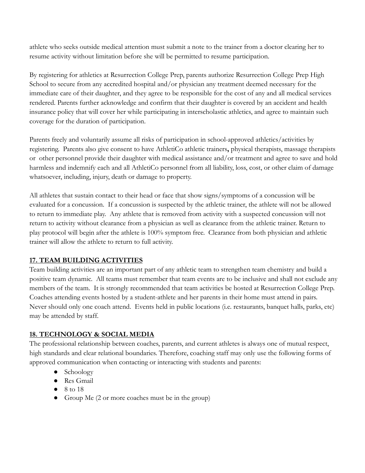athlete who seeks outside medical attention must submit a note to the trainer from a doctor clearing her to resume activity without limitation before she will be permitted to resume participation.

By registering for athletics at Resurrection College Prep, parents authorize Resurrection College Prep High School to secure from any accredited hospital and/or physician any treatment deemed necessary for the immediate care of their daughter, and they agree to be responsible for the cost of any and all medical services rendered. Parents further acknowledge and confirm that their daughter is covered by an accident and health insurance policy that will cover her while participating in interscholastic athletics, and agree to maintain such coverage for the duration of participation.

Parents freely and voluntarily assume all risks of participation in school-approved athletics/activities by registering. Parents also give consent to have AthletiCo athletic trainers**,** physical therapists, massage therapists or other personnel provide their daughter with medical assistance and/or treatment and agree to save and hold harmless and indemnify each and all AthletiCo personnel from all liability, loss, cost, or other claim of damage whatsoever, including, injury, death or damage to property.

All athletes that sustain contact to their head or face that show signs/symptoms of a concussion will be evaluated for a concussion. If a concussion is suspected by the athletic trainer, the athlete will not be allowed to return to immediate play. Any athlete that is removed from activity with a suspected concussion will not return to activity without clearance from a physician as well as clearance from the athletic trainer. Return to play protocol will begin after the athlete is 100% symptom free. Clearance from both physician and athletic trainer will allow the athlete to return to full activity.

## **17. TEAM BUILDING ACTIVITIES**

Team building activities are an important part of any athletic team to strengthen team chemistry and build a positive team dynamic. All teams must remember that team events are to be inclusive and shall not exclude any members of the team. It is strongly recommended that team activities be hosted at Resurrection College Prep. Coaches attending events hosted by a student-athlete and her parents in their home must attend in pairs. Never should only one coach attend. Events held in public locations (i.e. restaurants, banquet halls, parks, etc) may be attended by staff.

## **18. TECHNOLOGY & SOCIAL MEDIA**

The professional relationship between coaches, parents, and current athletes is always one of mutual respect, high standards and clear relational boundaries. Therefore, coaching staff may only use the following forms of approved communication when contacting or interacting with students and parents:

- Schoology
- Res Gmail
- $\bullet$  8 to 18
- Group Me (2 or more coaches must be in the group)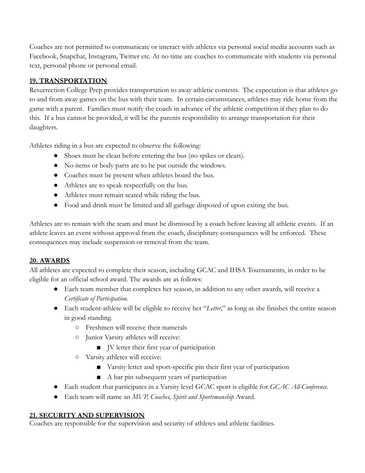Coaches are not permitted to communicate or interact with athletes via personal social media accounts such as Facebook, Snapchat, Instagram, Twitter etc. At no time are coaches to communicate with students via personal text, personal phone or personal email.

## **19. TRANSPORTATION**

Resurrection College Prep provides transportation to away athletic contests. The expectation is that athletes go to and from away games on the bus with their team. In certain circumstances, athletes may ride home from the game with a parent. Families must notify the coach in advance of the athletic competition if they plan to do this. If a bus cannot be provided, it will be the parents responsibility to arrange transportation for their daughters.

Athletes riding in a bus are expected to observe the following:

- Shoes must be clean before entering the bus (no spikes or cleats).
- No items or body parts are to be put outside the windows.
- Coaches must be present when athletes board the bus.
- Athletes are to speak respectfully on the bus.
- Athletes must remain seated while riding the bus.
- Food and drink must be limited and all garbage disposed of upon exiting the bus.

Athletes are to remain with the team and must be dismissed by a coach before leaving all athletic events. If an athlete leaves an event without approval from the coach, disciplinary consequences will be enforced. These consequences may include suspension or removal from the team.

## **20. AWARDS**

All athletes are expected to complete their season, including GCAC and IHSA Tournaments, in order to be eligible for an official school award. The awards are as follows:

- Each team member that completes her season, in addition to any other awards, will receive a *Certificate of Participation*.
- Each student-athlete will be eligible to receive her "*Letter*," as long as she finishes the entire season in good standing.
	- Freshmen will receive their numerals
	- Junior Varsity athletes will receive:
		- IV letter their first year of participation
	- Varsity athletes will receive:
		- Varsity letter and sport-specific pin their first year of participation
		- A bar pin subsequent years of participation
- Each student that participates in a Varsity level GCAC sport is eligible for *GCAC All-Conference.*
- Each team will name an *MVP, Coaches, Spirit and Sportsmanship* Award.

## **21. SECURITY AND SUPERVISION**

Coaches are responsible for the supervision and security of athletes and athletic facilities.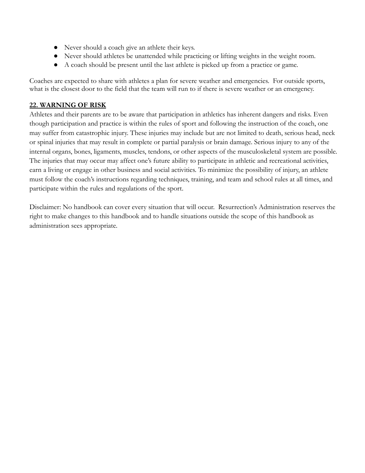- Never should a coach give an athlete their keys.
- Never should athletes be unattended while practicing or lifting weights in the weight room.
- A coach should be present until the last athlete is picked up from a practice or game.

Coaches are expected to share with athletes a plan for severe weather and emergencies. For outside sports, what is the closest door to the field that the team will run to if there is severe weather or an emergency.

#### **22. WARNING OF RISK**

Athletes and their parents are to be aware that participation in athletics has inherent dangers and risks. Even though participation and practice is within the rules of sport and following the instruction of the coach, one may suffer from catastrophic injury. These injuries may include but are not limited to death, serious head, neck or spinal injuries that may result in complete or partial paralysis or brain damage. Serious injury to any of the internal organs, bones, ligaments, muscles, tendons, or other aspects of the musculoskeletal system are possible. The injuries that may occur may affect one's future ability to participate in athletic and recreational activities, earn a living or engage in other business and social activities. To minimize the possibility of injury, an athlete must follow the coach's instructions regarding techniques, training, and team and school rules at all times, and participate within the rules and regulations of the sport.

Disclaimer: No handbook can cover every situation that will occur. Resurrection's Administration reserves the right to make changes to this handbook and to handle situations outside the scope of this handbook as administration sees appropriate.